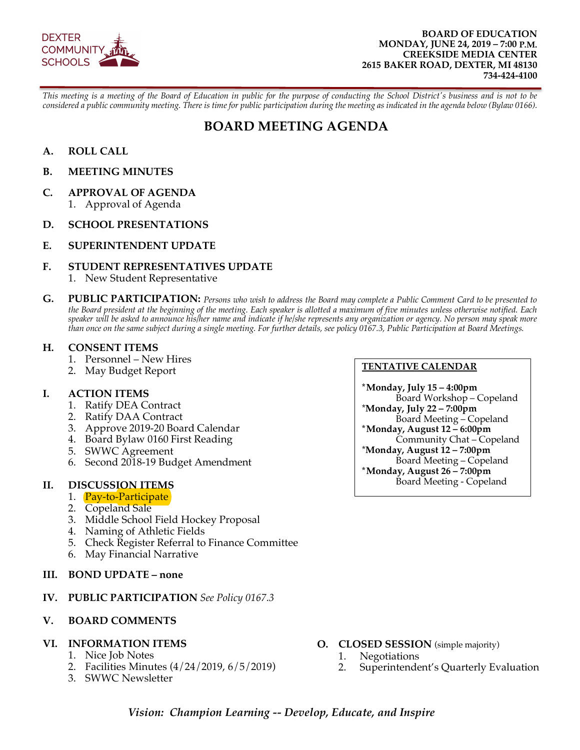

#### **BOARD OF EDUCATION MONDAY, JUNE 24, 2019 – 7:00 P.M. CREEKSIDE MEDIA CENTER 2615 BAKER ROAD, DEXTER, MI 48130 734-424-4100**

*This meeting is a meeting of the Board of Education in public for the purpose of conducting the School District's business and is not to be considered a public community meeting. There is time for public participation during the meeting as indicated in the agenda below (Bylaw 0166).*

# **BOARD MEETING AGENDA**

- **A. ROLL CALL**
- **B. MEETING MINUTES**
- **C. APPROVAL OF AGENDA** 1. Approval of Agenda
- **D. SCHOOL PRESENTATIONS**
- **E. SUPERINTENDENT UPDATE**

#### **F. STUDENT REPRESENTATIVES UPDATE**

- 1. New Student Representative
- **G. PUBLIC PARTICIPATION:** *Persons who wish to address the Board may complete a Public Comment Card to be presented to the Board president at the beginning of the meeting. Each speaker is allotted a maximum of five minutes unless otherwise notified. Each speaker will be asked to announce his/her name and indicate if he/she represents any organization or agency. No person may speak more than once on the same subject during a single meeting. For further details, see policy 0167.3, Public Participation at Board Meetings.*

#### **H. CONSENT ITEMS**

- 1. Personnel New Hires
- 2. May Budget Report

#### **I. ACTION ITEMS**

- 1. Ratify DEA Contract
- 2. Ratify DAA Contract
- 3. Approve 2019-20 Board Calendar
- 4. Board Bylaw 0160 First Reading
- 5. SWWC Agreement
- 6. Second 2018-19 Budget Amendment

#### **II. DISCUSSION ITEMS**

- 1. **Pay-to-Participate**
- 2. Copeland Sale
- 3. Middle School Field Hockey Proposal
- 4. Naming of Athletic Fields
- 5. Check Register Referral to Finance Committee
- 6. May Financial Narrative
- **III. BOND UPDATE none**

#### **IV. PUBLIC PARTICIPATION** *See Policy 0167.3*

#### **V. BOARD COMMENTS**

# **VI. INFORMATION ITEMS**

- 1. Nice Job Notes
- 2. Facilities Minutes (4/24/2019, 6/5/2019)
- 3. SWWC Newsletter

#### **TENTATIVE CALENDAR**

**\*Monday, July 15 – 4:00pm** Board Workshop – Copeland \***Monday, July 22 – 7:00pm** Board Meeting – Copeland **\*Monday, August 12 – 6:00pm** Community Chat – Copeland \***Monday, August 12 – 7:00pm** Board Meeting – Copeland **\*Monday, August 26 – 7:00pm** Board Meeting - Copeland

- **O. CLOSED SESSION** (simple majority)
	- 1. Negotiations
	- 2. Superintendent's Quarterly Evaluation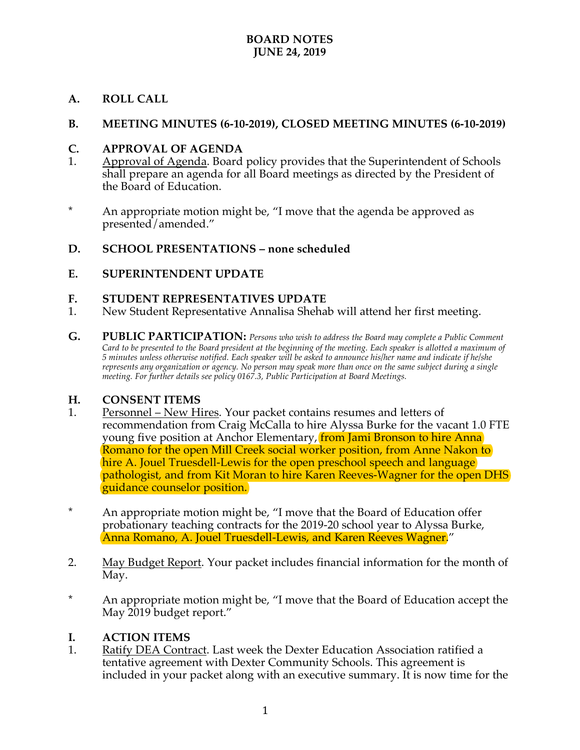### **BOARD NOTES JUNE 24, 2019**

### **A. ROLL CALL**

#### **B. MEETING MINUTES (6-10-2019), CLOSED MEETING MINUTES (6-10-2019)**

#### **C. APPROVAL OF AGENDA**

- 1. Approval of Agenda. Board policy provides that the Superintendent of Schools shall prepare an agenda for all Board meetings as directed by the President of the Board of Education.
- \* An appropriate motion might be, "I move that the agenda be approved as presented/amended."

#### **D. SCHOOL PRESENTATIONS – none scheduled**

#### **E. SUPERINTENDENT UPDATE**

#### **F. STUDENT REPRESENTATIVES UPDATE**

- 1. New Student Representative Annalisa Shehab will attend her first meeting.
- **G. PUBLIC PARTICIPATION:** *Persons who wish to address the Board may complete a Public Comment Card to be presented to the Board president at the beginning of the meeting. Each speaker is allotted a maximum of 5 minutes unless otherwise notified. Each speaker will be asked to announce his/her name and indicate if he/she represents any organization or agency. No person may speak more than once on the same subject during a single meeting. For further details see policy 0167.3, Public Participation at Board Meetings.*

#### **H. CONSENT ITEMS**

- 1. Personnel New Hires. Your packet contains resumes and letters of recommendation from Craig McCalla to hire Alyssa Burke for the vacant 1.0 FTE young five position at Anchor Elementary, **from Jami Bronson to hire Anna** Romano for the open Mill Creek social worker position, from Anne Nakon to hire A. Jouel Truesdell-Lewis for the open preschool speech and language pathologist, and from Kit Moran to hire Karen Reeves-Wagner for the open DHS guidance counselor position.
- \* An appropriate motion might be, "I move that the Board of Education offer probationary teaching contracts for the 2019-20 school year to Alyssa Burke, Anna Romano, A. Jouel Truesdell-Lewis, and Karen Reeves Wagner."
- 2. May Budget Report. Your packet includes financial information for the month of May.
- \* An appropriate motion might be, "I move that the Board of Education accept the May 2019 budget report."

#### **I. ACTION ITEMS**

1. Ratify DEA Contract. Last week the Dexter Education Association ratified a tentative agreement with Dexter Community Schools. This agreement is included in your packet along with an executive summary. It is now time for the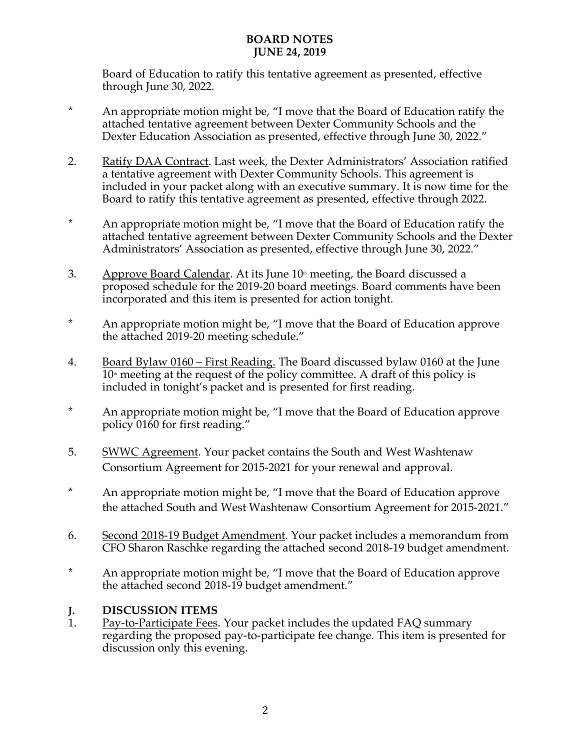## **BOARD NOTES JUNE 24, 2019**

Board of Education to ratify this tentative agreement as presented, effective through June 30, 2022.

- \* An appropriate motion might be, "I move that the Board of Education ratify the attached tentative agreement between Dexter Community Schools and the Dexter Education Association as presented, effective through June 30, 2022."
- 2. Ratify DAA Contract. Last week, the Dexter Administrators' Association ratified a tentative agreement with Dexter Community Schools. This agreement is included in your packet along with an executive summary. It is now time for the Board to ratify this tentative agreement as presented, effective through 2022.
- \* An appropriate motion might be, "I move that the Board of Education ratify the attached tentative agreement between Dexter Community Schools and the Dexter Administrators' Association as presented, effective through June 30, 2022."
- 3. Approve Board Calendar. At its June  $10<sup>th</sup>$  meeting, the Board discussed a proposed schedule for the 2019-20 board meetings. Board comments have been incorporated and this item is presented for action tonight.
- \* An appropriate motion might be, "I move that the Board of Education approve the attached 2019-20 meeting schedule."
- 4. Board Bylaw 0160 First Reading. The Board discussed bylaw 0160 at the June  $10<sup>th</sup>$  meeting at the request of the policy committee. A draft of this policy is included in tonight's packet and is presented for first reading.
- \* An appropriate motion might be, "I move that the Board of Education approve policy 0160 for first reading."
- 5. SWWC Agreement. Your packet contains the South and West Washtenaw Consortium Agreement for 2015-2021 for your renewal and approval.
- \* An appropriate motion might be, "I move that the Board of Education approve the attached South and West Washtenaw Consortium Agreement for 2015-2021."
- 6. Second 2018-19 Budget Amendment. Your packet includes a memorandum from CFO Sharon Raschke regarding the attached second 2018-19 budget amendment.
- \* An appropriate motion might be, "I move that the Board of Education approve the attached second 2018-19 budget amendment."

# **J. DISCUSSION ITEMS**

1. Pay-to-Participate Fees. Your packet includes the updated FAQ summary regarding the proposed pay-to-participate fee change. This item is presented for discussion only this evening.